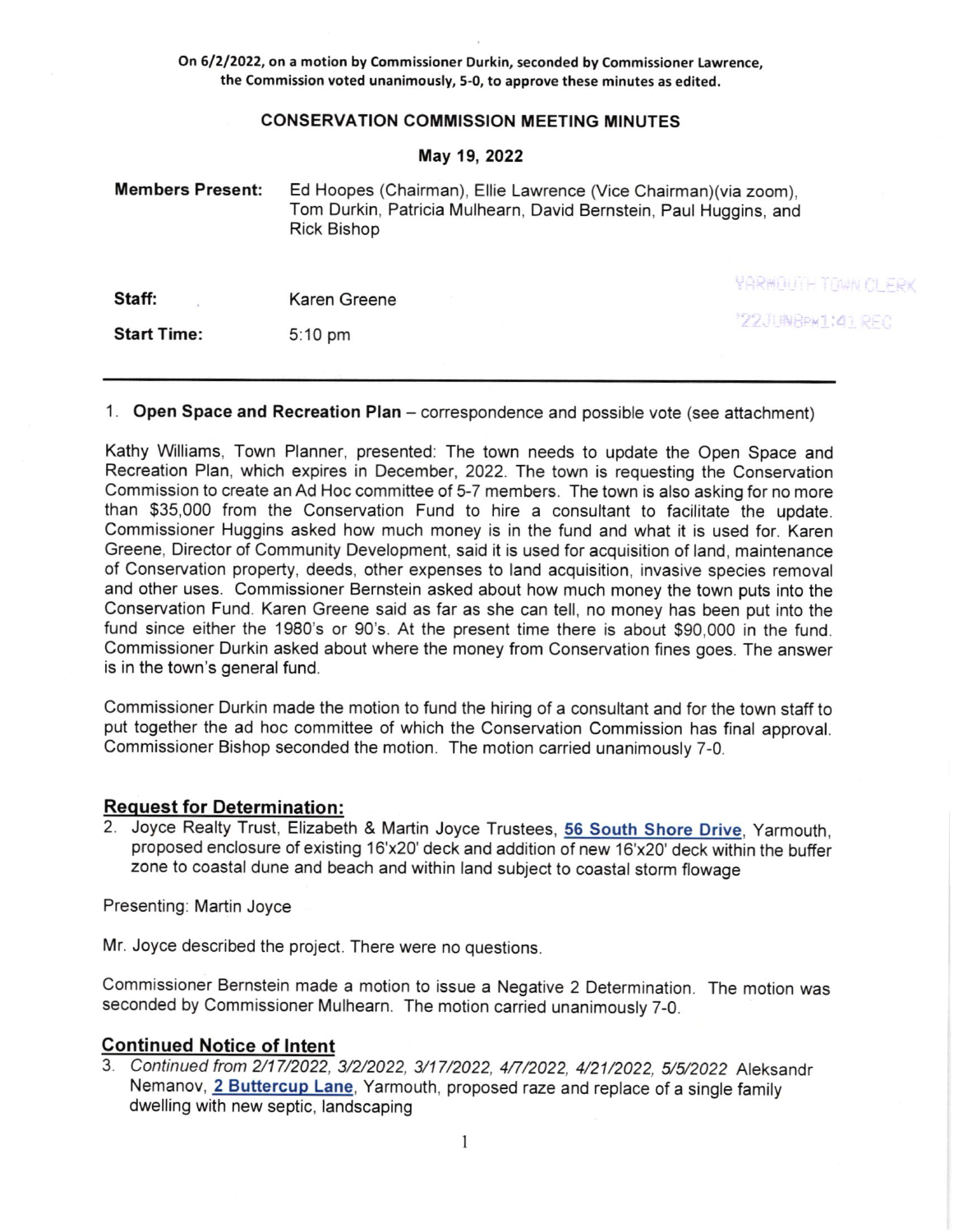On 61212022, on a motion by Commissioner Durkin, seconded by Commissioner Lawrence, the Commission voted unanimously, 5-0, to approve these minutes as edited.

## CONSERVATION COMMISSION MEETING MINUTES

## May 19,2022

| <b>Members Present:</b> | Ed Hoopes (Chairman), Ellie Lawrence (Vice Chairman)(via zoom),<br>Tom Durkin, Patricia Mulhearn, David Bernstein, Paul Huggins, and<br><b>Rick Bishop</b> |                            |
|-------------------------|------------------------------------------------------------------------------------------------------------------------------------------------------------|----------------------------|
| Staff:                  | Karen Greene                                                                                                                                               | <b>YARMOUTH TOWN OLFRK</b> |
|                         |                                                                                                                                                            | "22JUNBPH1:41 REC          |
| <b>Start Time:</b>      | $5:10 \text{ pm}$                                                                                                                                          |                            |

# 1. Open Space and Recreation Plan – correspondence and possible vote (see attachment)

Kathy Williams, Town Planner, presented: The town needs to update the Open Space and Recreation Plan, which expires in December, 2022. The town is requesting the Conservation Commission to create an Ad Hoc committee of 5-7 members. The town is also asking for no more than \$35,000 from the Conservation Fund to hire a consultant to facilitate the update. Commissioner Huggins asked how much money is in the fund and what it is used for. Karen Greene, Director of Community Development, said it is used for acquisition of land, maintenance of Conservation property, deeds, other expenses to land acquisition, invasive species removal and other uses. Commissioner Bernstein asked about how much money the town puts into the Conservation Fund. Karen Greene said as far as she can tell, no money has been put into the fund since either the 1980's or 90's. At the present time there is about \$90,000 in the fund. Commissioner Durkin asked about where the money from Conservation fines goes. The answer is in the town's general fund.

Commissioner Durkin made the motion to fund the hiring of a consultant and for the town staff to put together the ad hoc committee of which the Conservation Commission has final approval. Commissioner Bishop seconded the motion. The motion carried unanimously 7-0.

# **Request for Determination:**

2. Joyce Realty Trust, Elizabeth & Martin Joyce Trustees, 56 South Shore Drive, Yarmouth, proposed enclosure of existing 16'x20' deck and addition of new 16'x20' deck within the buffer zone to coastal dune and beach and within land subject to coastal storm flowage

Presenting: Martin Joyce

Mr. Joyce described the project. There were no questions.

Commissioner Bernstein made a motion to issue a Negative 2 Determination. The motion was seconded by Commissioner Mulhearn. The motion carried unanimously 7-0.

# **Continued Notice of Intent**

3. Continued from 2/17/2022, 3/2/2022, 3/17/2022, 4/7/2022, 4/21/2022, 5/5/2022 Aleksandr Nemanov, 2 Buttercup Lane, Yarmouth, proposed raze and replace of a single family dwelling with new septic, landscaping